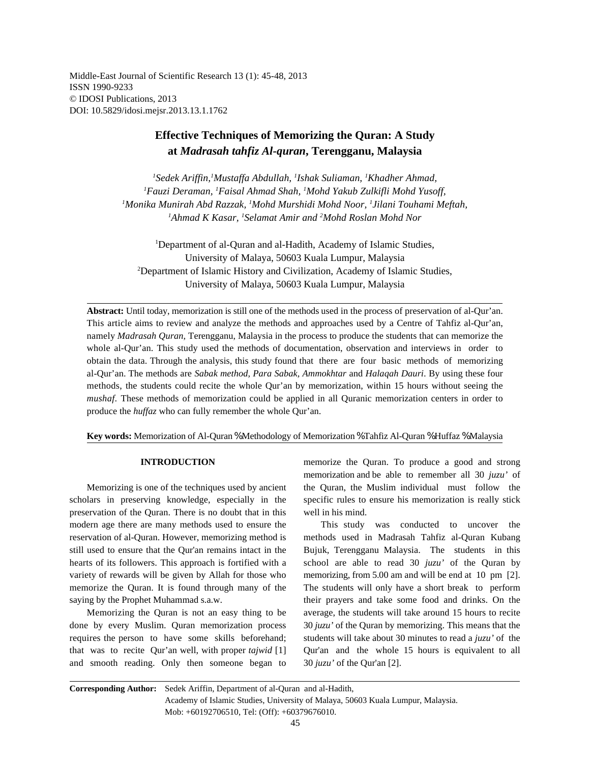Middle-East Journal of Scientific Research 13 (1): 45-48, 2013 ISSN 1990-9233 © IDOSI Publications, 2013 DOI: 10.5829/idosi.mejsr.2013.13.1.1762

# **Effective Techniques of Memorizing the Quran: A Study at** *Madrasah tahfiz Al-quran***, Terengganu, Malaysia**

*Sedek Ariffin, Mustaffa Abdullah, Ishak Suliaman, Khadher Ahmad, <sup>1</sup> <sup>1</sup> <sup>1</sup> <sup>1</sup> Fauzi Deraman, Faisal Ahmad Shah, Mohd Yakub Zulkifli Mohd Yusoff, <sup>1</sup> <sup>1</sup> <sup>1</sup> Monika Munirah Abd Razzak, Mohd Murshidi Mohd Noor, Jilani Touhami Meftah, <sup>1</sup> <sup>1</sup> <sup>1</sup>* <sup>1</sup>Ahmad K Kasar, <sup>1</sup>Selamat Amir and <sup>2</sup>Mohd Roslan Mohd Nor

<sup>1</sup>Department of al-Quran and al-Hadith, Academy of Islamic Studies, University of Malaya, 50603 Kuala Lumpur, Malaysia <sup>2</sup>Department of Islamic History and Civilization, Academy of Islamic Studies, University of Malaya, 50603 Kuala Lumpur, Malaysia

**Abstract:** Until today, memorization is still one of the methods used in the process of preservation of al-Qur'an. This article aims to review and analyze the methods and approaches used by a Centre of Tahfiz al-Qur'an, namely *Madrasah Quran,* Terengganu, Malaysia in the process to produce the students that can memorize the whole al-Qur'an. This study used the methods of documentation, observation and interviews in order to obtain the data. Through the analysis, this study found that there are four basic methods of memorizing al-Qur'an. The methods are *Sabak method, Para Sabak, Ammokhtar* and *Halaqah Dauri*. By using these four methods, the students could recite the whole Qur'an by memorization, within 15 hours without seeing the *mushaf*. These methods of memorization could be applied in all Quranic memorization centers in order to produce the *huffaz* who can fully remember the whole Qur'an.

**Key words:** Memorization of Al-Quran % Methodology of Memorization % Tahfiz Al-Quran % Huffaz % Malaysia

preservation of the Quran. There is no doubt that in this well in his mind. modern age there are many methods used to ensure the This study was conducted to uncover the reservation of al-Quran. However, memorizing method is methods used in Madrasah Tahfiz al-Quran Kubang still used to ensure that the Qur'an remains intact in the Bujuk, Terengganu Malaysia. The students in this hearts of its followers. This approach is fortified with a school are able to read 30 *juzu'* of the Quran by variety of rewards will be given by Allah for those who memorizing, from 5.00 am and will be end at 10 pm [2]. memorize the Quran. It is found through many of the The students will only have a short break to perform saying by the Prophet Muhammad s.a.w. their prayers and take some food and drinks. On the

done by every Muslim. Quran memorization process 30 *juzu'* of the Quran by memorizing. This means that the requires the person to have some skills beforehand; students will take about 30 minutes to read a *juzu'* of the that was to recite Qur'an well, with proper *tajwid* [1] Qur'an and the whole 15 hours is equivalent to all and smooth reading. Only then someone began to 30 *juzu'* of the Qur'an [2].

**INTRODUCTION** memorize the Quran. To produce a good and strong Memorizing is one of the techniques used by ancient the Quran, the Muslim individual must follow the scholars in preserving knowledge, especially in the specific rules to ensure his memorization is really stick memorization and be able to remember all 30 *juzu'* of

Memorizing the Quran is not an easy thing to be average, the students will take around 15 hours to recite

**Corresponding Author:** Sedek Ariffin, Department of al-Quran and al-Hadith, Academy of Islamic Studies, University of Malaya, 50603 Kuala Lumpur, Malaysia. Mob: +60192706510, Tel: (Off): +60379676010.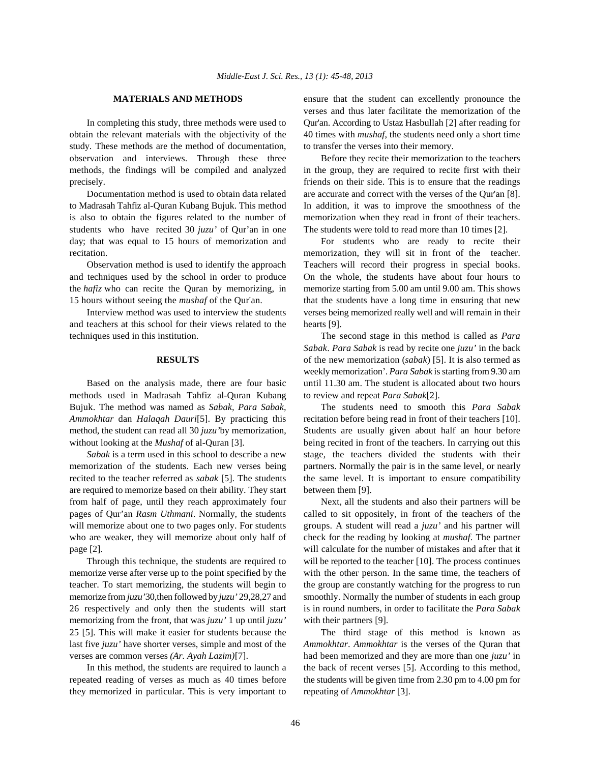obtain the relevant materials with the objectivity of the 40 times with *mushaf*, the students need only a short time study. These methods are the method of documentation, to transfer the verses into their memory. observation and interviews. Through these three Before they recite their memorization to the teachers methods, the findings will be compiled and analyzed in the group, they are required to recite first with their precisely. friends on their side. This is to ensure that the readings

to Madrasah Tahfiz al-Quran Kubang Bujuk. This method In addition, it was to improve the smoothness of the is also to obtain the figures related to the number of memorization when they read in front of their teachers. students who have recited 30 *juzu'* of Qur'an in one The students were told to read more than 10 times [2]. day; that was equal to 15 hours of memorization and For students who are ready to recite their recitation. memorization, they will sit in front of the teacher.

and teachers at this school for their views related to the hearts [9]. techniques used in this institution. The second stage in this method is called as *Para*

methods used in Madrasah Tahfiz al-Quran Kubang to review and repeat *Para Sabak*[2]. Bujuk. The method was named as *Sabak, Para Sabak,* The students need to smooth this *Para Sabak Ammokhtar* dan *Halaqah Dauri*[5]. By practicing this recitation before being read in front of their teachers [10]. method, the student can read all 30 *juzu'*by memorization, Students are usually given about half an hour before without looking at the *Mushaf* of al-Quran [3]. being recited in front of the teachers. In carrying out this

memorization of the students. Each new verses being partners. Normally the pair is in the same level, or nearly recited to the teacher referred as *sabak* [5]. The students the same level. It is important to ensure compatibility are required to memorize based on their ability. They start between them [9]. from half of page, until they reach approximately four Next, all the students and also their partners will be pages of Qur'an *Rasm Uthmani*. Normally, the students called to sit oppositely, in front of the teachers of the will memorize about one to two pages only. For students groups. A student will read a *juzu'* and his partner will who are weaker, they will memorize about only half of check for the reading by looking at *mushaf*. The partner

memorize verse after verse up to the point specified by the with the other person. In the same time, the teachers of teacher. To start memorizing, the students will begin to the group are constantly watching for the progress to run memorize from *juzu'*30, then followed by *juzu'* 29,28,27 and smoothly. Normally the number of students in each group 26 respectively and only then the students will start is in round numbers, in order to facilitate the *Para Sabak* memorizing from the front, that was *juzu'* 1 up until *juzu'* with their partners [9]. 25 [5]. This will make it easier for students because the The third stage of this method is known as last five *juzu'* have shorter verses, simple and most of the *Ammokhtar*. *Ammokhtar* is the verses of the Quran that verses are common verses *(Ar. Ayah Lazim)*[7]. had been memorized and they are more than one *juzu'* in

repeated reading of verses as much as 40 times before the students will be given time from 2.30 pm to 4.00 pm for they memorized in particular. This is very important to repeating of *Ammokhtar* [3].

**MATERIALS AND METHODS** ensure that the student can excellently pronounce the In completing this study, three methods were used to Qur'an. According to Ustaz Hasbullah [2] after reading for verses and thus later facilitate the memorization of the

Documentation method is used to obtain data related are accurate and correct with the verses of the Our'an [8].

Observation method is used to identify the approach Teachers will record their progress in special books. and techniques used by the school in order to produce On the whole, the students have about four hours to the *hafiz* who can recite the Quran by memorizing, in memorize starting from 5.00 am until 9.00 am. This shows 15 hours without seeing the *mushaf* of the Qur'an. that the students have a long time in ensuring that new Interview method was used to interview the students verses being memorized really well and will remain in their

**RESULTS** of the new memorization (*sabak*) [5]. It is also termed as Based on the analysis made, there are four basic until 11.30 am. The student is allocated about two hours *Sabak*. *Para Sabak* is read by recite one *juzu'* in the back weekly memorization'. *Para Sabak* is starting from 9.30 am

*Sabak* is a term used in this school to describe a new stage, the teachers divided the students with their

page [2]. will calculate for the number of mistakes and after that it Through this technique, the students are required to will be reported to the teacher [10]. The process continues

In this method, the students are required to launch a the back of recent verses [5]. According to this method,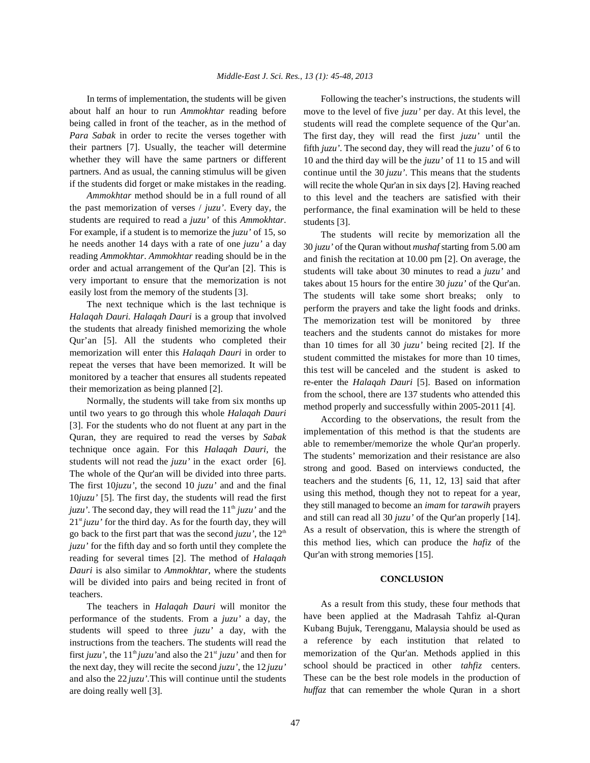about half an hour to run *Ammokhtar* reading before being called in front of the teacher, as in the method of *Para Sabak* in order to recite the verses together with their partners [7]. Usually, the teacher will determine whether they will have the same partners or different partners. And as usual, the canning stimulus will be given if the students did forget or make mistakes in the reading.

*Ammokhtar* method should be in a full round of all the past memorization of verses / *juzu'*. Every day, the students are required to read a *juzu'* of this *Ammokhtar*. For example, if a student is to memorize the *juzu'* of 15, so he needs another 14 days with a rate of one *juzu'* a day reading *Ammokhtar*. *Ammokhtar* reading should be in the order and actual arrangement of the Qur'an [2]. This is very important to ensure that the memorization is not easily lost from the memory of the students [3].

The next technique which is the last technique is *Halaqah Dauri. Halaqah Dauri* is a group that involved the students that already finished memorizing the whole Qur'an [5]. All the students who completed their memorization will enter this *Halaqah Dauri* in order to repeat the verses that have been memorized. It will be monitored by a teacher that ensures all students repeated their memorization as being planned [2].

Normally, the students will take from six months up until two years to go through this whole *Halaqah Dauri* [3]. For the students who do not fluent at any part in the Quran, they are required to read the verses by *Sabak* technique once again. For this *Halaqah Dauri,* the students will not read the *juzu'* in the exact order [6]. The whole of the Qur'an will be divided into three parts. The first 10*juzu'*, the second 10 *juzu'* and and the final 10*juzu'* [5]. The first day, the students will read the first *juzu'*. The second day, they will read the  $11<sup>th</sup> juzu'$  and the  $21<sup>st</sup> juzu'$  for the third day. As for the fourth day, they will go back to the first part that was the second  $juzu'$ , the  $12<sup>th</sup>$ *juzu'* for the fifth day and so forth until they complete the reading for several times [2]. The method of *Halaqah Dauri* is also similar to *Ammokhtar*, where the students will be divided into pairs and being recited in front of teachers.

The teachers in *Halaqah Dauri* will monitor the performance of the students. From a *juzu'* a day, the students will speed to three *juzu'* a day, with the instructions from the teachers. The students will read the first *juzu'*, the  $11<sup>th</sup> juzu'$  and also the  $21<sup>st</sup> juzu'$  and then for the next day, they will recite the second *juzu'*, the 12 *juzu'* and also the 22 *juzu'.*This will continue until the students are doing really well [3].

In terms of implementation, the students will be given Following the teacher's instructions, the students will move to the level of five *juzu'* per day. At this level, the students will read the complete sequence of the Qur'an. The first day, they will read the first *juzu'* until the fifth *juzu'*. The second day, they will read the *juzu'* of 6 to 10 and the third day will be the *juzu'* of 11 to 15 and will continue until the 30 *juzu'*. This means that the students will recite the whole Qur'an in six days [2]. Having reached to this level and the teachers are satisfied with their performance, the final examination will be held to these students [3].

> The students will recite by memorization all the 30 *juzu'* of the Quran without *mushaf* starting from 5.00 am and finish the recitation at 10.00 pm [2]. On average, the students will take about 30 minutes to read a *juzu'* and takes about 15 hours for the entire 30 *juzu'* of the Qur'an. The students will take some short breaks; only to perform the prayers and take the light foods and drinks. The memorization test will be monitored by three teachers and the students cannot do mistakes for more than 10 times for all 30 *juzu'* being recited [2]. If the student committed the mistakes for more than 10 times, this test will be canceled and the student is asked to re-enter the *Halaqah Dauri* [5]. Based on information from the school, there are 137 students who attended this method properly and successfully within 2005-2011 [4].

> According to the observations, the result from the implementation of this method is that the students are able to remember/memorize the whole Qur'an properly. The students' memorization and their resistance are also strong and good. Based on interviews conducted, the teachers and the students [6, 11, 12, 13] said that after using this method, though they not to repeat for a year, they still managed to become an *imam* for *tarawih* prayers and still can read all 30 *juzu'* of the Qur'an properly [14]. As a result of observation, this is where the strength of this method lies, which can produce the *hafiz* of the Qur'an with strong memories [15].

## **CONCLUSION**

As a result from this study, these four methods that have been applied at the Madrasah Tahfiz al-Quran Kubang Bujuk, Terengganu, Malaysia should be used as a reference by each institution that related to memorization of the Qur'an. Methods applied in this school should be practiced in other *tahfiz* centers. These can be the best role models in the production of *huffaz* that can remember the whole Quran in a short